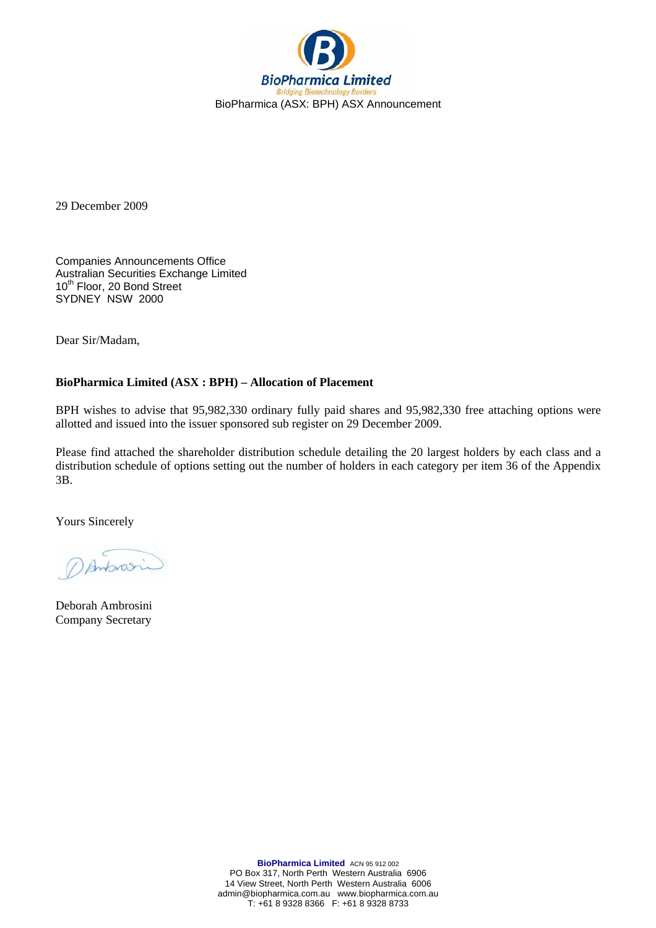

29 December 2009

Companies Announcements Office Australian Securities Exchange Limited 10<sup>th</sup> Floor, 20 Bond Street SYDNEY NSW 2000

Dear Sir/Madam,

## **BioPharmica Limited (ASX : BPH) – Allocation of Placement**

BPH wishes to advise that 95,982,330 ordinary fully paid shares and 95,982,330 free attaching options were allotted and issued into the issuer sponsored sub register on 29 December 2009.

Please find attached the shareholder distribution schedule detailing the 20 largest holders by each class and a distribution schedule of options setting out the number of holders in each category per item 36 of the Appendix 3B.

Yours Sincerely

Dantonsi

Deborah Ambrosini Company Secretary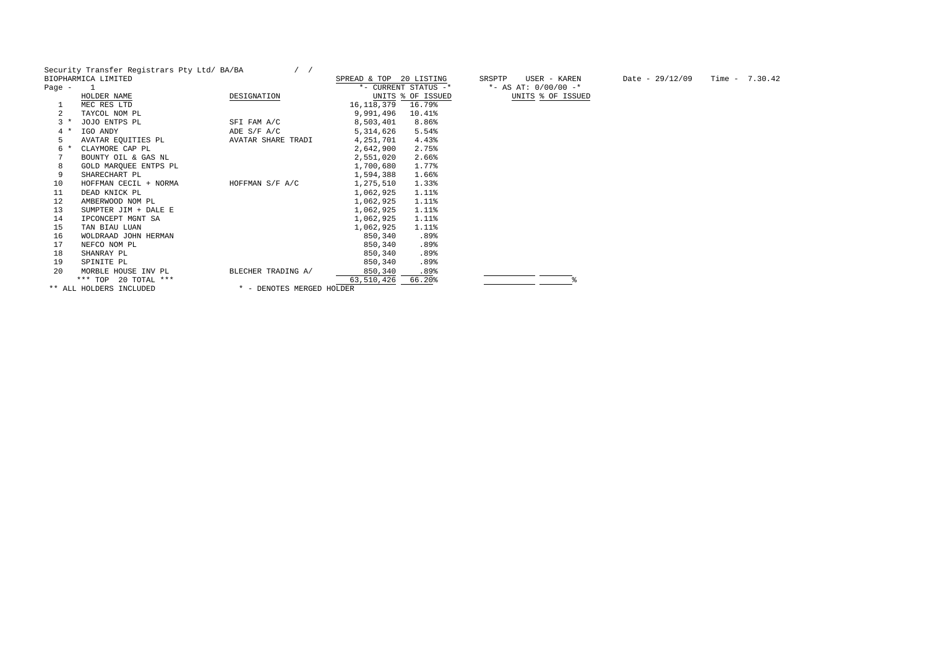Security Transfer Registrars Pty Ltd/ BA/BA / /<br>BIOPHARMICA LIMITED SPREAD & TOP 20 LISTING SRSPTP USER - KAREN Date - 29/12/09 Time - 7.30.42

|          | BIOFRANMICA BIMITED     |                           | SPREAD & IOP 20 BISIING |                      | ON OF IF<br>UJER - RAREN |
|----------|-------------------------|---------------------------|-------------------------|----------------------|--------------------------|
| Page $-$ | 1                       |                           |                         | *- CURRENT STATUS -* | *- AS AT: $0/00/00$ -*   |
|          | HOLDER NAME             | DESIGNATION               |                         | UNITS % OF ISSUED    | UNITS % OF ISSUED        |
|          | MEC RES LTD             |                           | 16, 118, 379            | 16.79%               |                          |
| 2        | TAYCOL NOM PL           |                           | 9,991,496               | 10.41%               |                          |
| $3 *$    | JOJO ENTPS PL           | SFI FAM A/C               | 8,503,401               | $8.86\%$             |                          |
| $4 *$    | IGO ANDY                | ADE $S/F A/C$             | 5,314,626               | 5.54%                |                          |
| 5        | AVATAR EQUITIES PL      | AVATAR SHARE TRADI        | 4,251,701               | 4.43%                |                          |
| 6        | CLAYMORE CAP PL         |                           | 2,642,900               | 2.75%                |                          |
| 7        | BOUNTY OIL & GAS NL     |                           | 2,551,020               | 2.66%                |                          |
| 8        | GOLD MARQUEE ENTPS PL   |                           | 1,700,680               | 1.77%                |                          |
| 9        | SHARECHART PL           |                           | 1,594,388               | 1.66%                |                          |
| 10       | HOFFMAN CECIL + NORMA   | HOFFMAN S/F A/C           | 1,275,510               | $1.33\%$             |                          |
| 11       | DEAD KNICK PL           |                           | 1,062,925               | 1.11%                |                          |
| 12       | AMBERWOOD NOM PL        |                           | 1,062,925               | 1.11%                |                          |
| 13       | SUMPTER JIM + DALE E    |                           | 1,062,925               | $1.11\$              |                          |
| 14       | IPCONCEPT MGNT SA       |                           | 1,062,925               | 1.11%                |                          |
| 15       | TAN BIAU LUAN           |                           | 1,062,925               | $1.11\%$             |                          |
| 16       | WOLDRAAD JOHN HERMAN    |                           | 850,340                 | .89%                 |                          |
| 17       | NEFCO NOM PL            |                           | 850,340                 | .89%                 |                          |
| 18       | SHANRAY PL              |                           | 850,340                 | .89%                 |                          |
| 19       | SPINITE PL              |                           | 850,340                 | .89%                 |                          |
| 20       | MORBLE HOUSE INV PL     | BLECHER TRADING A/        | 850,340                 | .89%                 |                          |
|          | *** TOP 20 TOTAL ***    |                           | 63,510,426              | 66.20%               |                          |
|          | ** ALL HOLDERS INCLUDED | * - DENOTES MERGED HOLDER |                         |                      |                          |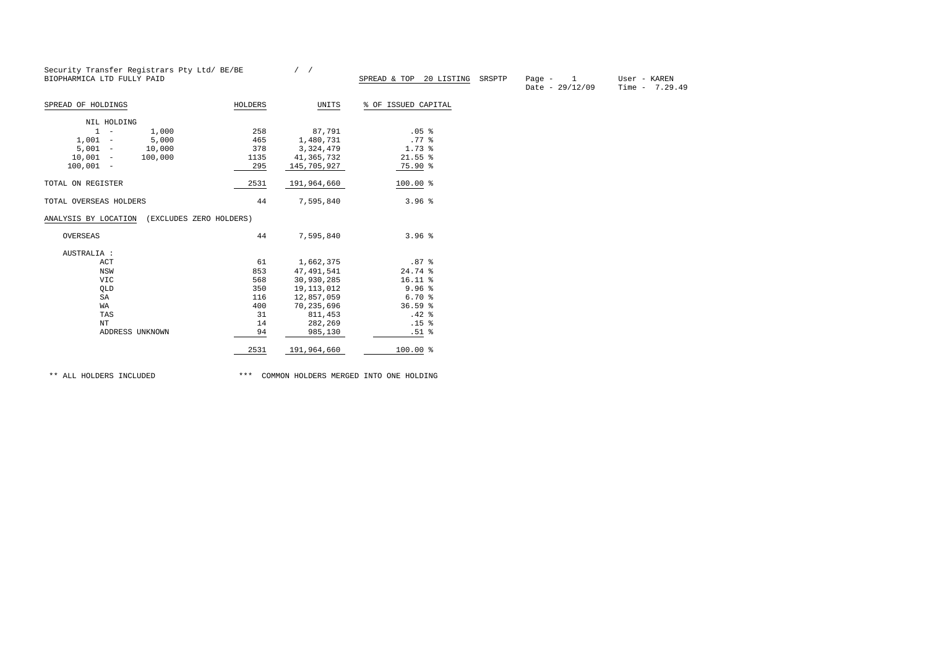|                                                 | Security Transfer Registrars Pty Ltd/ BE/BE |              |                                   |                                                 |                                 |
|-------------------------------------------------|---------------------------------------------|--------------|-----------------------------------|-------------------------------------------------|---------------------------------|
| BIOPHARMICA LTD FULLY PAID                      |                                             |              | SPREAD & TOP 20 LISTING<br>SRSPTP | $\overline{1}$<br>Page $-$<br>Date - $29/12/09$ | User - KAREN<br>Time $-7.29.49$ |
| SPREAD OF HOLDINGS                              | HOLDERS                                     | UNITS        | % OF ISSUED CAPITAL               |                                                 |                                 |
| NIL HOLDING                                     |                                             |              |                                   |                                                 |                                 |
| $1 -$<br>1,000                                  | 258                                         | 87,791       | .05 <sup>8</sup>                  |                                                 |                                 |
| $1,001 -$<br>5,000                              | 465                                         | 1,480,731    | .77 <sub>8</sub>                  |                                                 |                                 |
| $5,001 -$<br>10,000                             | 378                                         | 3, 324, 479  | $1.73$ %                          |                                                 |                                 |
| $10,001 -$<br>100,000                           | 1135                                        | 41,365,732   | $21.55$ $\frac{6}{5}$             |                                                 |                                 |
| $100,001 -$                                     | 295                                         | 145,705,927  | 75.90 %                           |                                                 |                                 |
| TOTAL ON REGISTER                               | 2531                                        | 191,964,660  | $100.00$ %                        |                                                 |                                 |
|                                                 |                                             |              |                                   |                                                 |                                 |
| TOTAL OVERSEAS HOLDERS                          | 44                                          | 7,595,840    | 3.96 <sup>8</sup>                 |                                                 |                                 |
| ANALYSIS BY LOCATION<br>(EXCLUDES ZERO HOLDERS) |                                             |              |                                   |                                                 |                                 |
| OVERSEAS                                        | 44                                          | 7,595,840    | 3.96 <sup>8</sup>                 |                                                 |                                 |
| AUSTRALIA :                                     |                                             |              |                                   |                                                 |                                 |
| ACT                                             | 61                                          | 1,662,375    | .87 <sup>8</sup>                  |                                                 |                                 |
| NSW                                             | 853                                         | 47, 491, 541 | 24.74 %                           |                                                 |                                 |
| <b>VIC</b>                                      | 568                                         | 30,930,285   | $16.11$ %                         |                                                 |                                 |
| QLD                                             | 350                                         | 19, 113, 012 | 9.96 <sup>8</sup>                 |                                                 |                                 |
| SA                                              | 116                                         | 12,857,059   | 6.70%                             |                                                 |                                 |
| WA                                              | 400                                         | 70,235,696   | 36.59%                            |                                                 |                                 |
| TAS                                             | 31                                          | 811,453      | .42%                              |                                                 |                                 |
| $_{\rm NT}$                                     | 14                                          | 282,269      | .15 <sup>°</sup>                  |                                                 |                                 |
| ADDRESS UNKNOWN                                 | 94                                          | 985,130      | .51%                              |                                                 |                                 |

\*\* ALL HOLDERS INCLUDED \*\*\* COMMON HOLDERS MERGED INTO ONE HOLDING